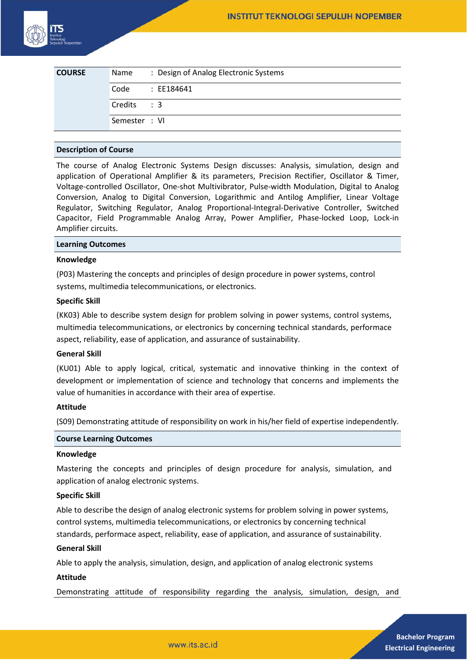| <b>COURSE</b> | Name          | : Design of Analog Electronic Systems |
|---------------|---------------|---------------------------------------|
|               | Code          | : EE184641                            |
|               | Credits : 3   |                                       |
|               | Semester : VI |                                       |

# **Description of Course**

The course of Analog Electronic Systems Design discusses: Analysis, simulation, design and application of Operational Amplifier & its parameters, Precision Rectifier, Oscillator & Timer, Voltage-controlled Oscillator, One-shot Multivibrator, Pulse-width Modulation, Digital to Analog Conversion, Analog to Digital Conversion, Logarithmic and Antilog Amplifier, Linear Voltage Regulator, Switching Regulator, Analog Proportional-Integral-Derivative Controller, Switched Capacitor, Field Programmable Analog Array, Power Amplifier, Phase-locked Loop, Lock-in Amplifier circuits.

## **Learning Outcomes**

## **Knowledge**

(P03) Mastering the concepts and principles of design procedure in power systems, control systems, multimedia telecommunications, or electronics.

### **Specific Skill**

(KK03) Able to describe system design for problem solving in power systems, control systems, multimedia telecommunications, or electronics by concerning technical standards, performace aspect, reliability, ease of application, and assurance of sustainability.

#### **General Skill**

(KU01) Able to apply logical, critical, systematic and innovative thinking in the context of development or implementation of science and technology that concerns and implements the value of humanities in accordance with their area of expertise.

### **Attitude**

(S09) Demonstrating attitude of responsibility on work in his/her field of expertise independently.

# **Course Learning Outcomes**

#### **Knowledge**

Mastering the concepts and principles of design procedure for analysis, simulation, and application of analog electronic systems.

## **Specific Skill**

Able to describe the design of analog electronic systems for problem solving in power systems, control systems, multimedia telecommunications, or electronics by concerning technical standards, performace aspect, reliability, ease of application, and assurance of sustainability.

## **General Skill**

Able to apply the analysis, simulation, design, and application of analog electronic systems

#### **Attitude**

Demonstrating attitude of responsibility regarding the analysis, simulation, design, and